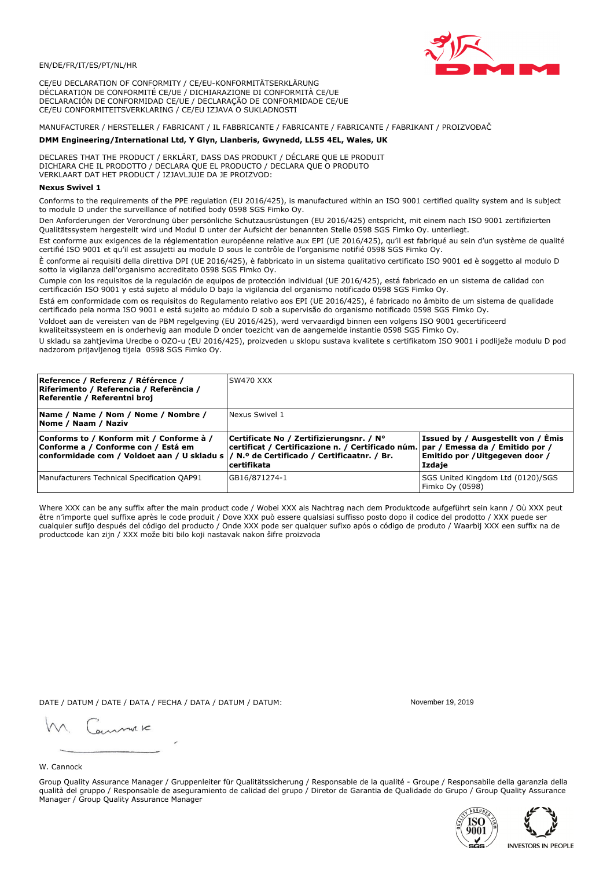

CE/EU DECLARATION OF CONFORMITY / CE/EU-KONFORMITÄTSERKLÄRUNG DÉCLARATION DE CONFORMITÉ CE/UE / DICHIARAZIONE DI CONFORMITÀ CE/UE DECLARACIÓN DE CONFORMIDAD CE/UE / DECLARAÇÃO DE CONFORMIDADE CE/UE CE/EU CONFORMITEITSVERKLARING / CE/EU IZJAVA O SUKLADNOSTI

# MANUFACTURER / HERSTELLER / FABRICANT / IL FABBRICANTE / FABRICANTE / FABRICANTE / FABRIKANT / PROIZVOĐAČ

## DMM Engineering/International Ltd, Y Glyn, Llanberis, Gwynedd, LL55 4EL, Wales, UK

DECLARES THAT THE PRODUCT / ERKLÄRT, DASS DAS PRODUKT / DÉCLARE QUE LE PRODUIT<br>DICHIARA CHE IL PRODOTTO / DECLARA QUE EL PRODUCTO / DECLARA QUE O PRODUTO VERKLAART DAT HET PRODUCT / IZJAVLJUJE DA JE PROIZVOD:

### **Nexus Swivel 1**

Conforms to the requirements of the PPE regulation (EU 2016/425), is manufactured within an ISO 9001 certified quality system and is subject to module D under the surveillance of notified body 0598 SGS Fimko Oy.

Den Anforderungen der Verordnung über persönliche Schutzausrüstungen (EU 2016/425) entspricht, mit einem nach ISO 9001 zertifizierten Qualitätssystem hergestellt wird und Modul D unter der Aufsicht der benannten Stelle 0598 SGS Fimko Oy. unterliegt.

Est conforme aux exigences de la réglementation européenne relative aux EPI (UE 2016/425), qu'il est fabriqué au sein d'un système de qualité certifié ISO 9001 et qu'il est assujetti au module D sous le contrôle de l'organisme notifié 0598 SGS Fimko Oy.

È conforme ai requisiti della direttiva DPI (UE 2016/425), è fabbricato in un sistema qualitativo certificato ISO 9001 ed è soggetto al modulo D sotto la vigilanza dell'organismo accreditato 0598 SGS Fimko Oy.

Cumple con los requisitos de la regulación de equipos de protección individual (UE 2016/425), está fabricado en un sistema de calidad con certificación ISO 9001 y está sujeto al módulo D bajo la vigilancia del organismo notificado 0598 SGS Fimko Oy.

Está em conformidade com os requisitos do Regulamento relativo aos EPI (UE 2016/425), é fabricado no âmbito de um sistema de qualidade certificado pela norma ISO 9001 e está sujeito ao módulo D sob a supervisão do organismo notificado 0598 SGS Fimko Oy.

Voldoet aan de vereisten van de PBM regelgeving (EU 2016/425), werd vervaardigd binnen een volgens ISO 9001 gecertificeerd kwaliteitssysteem en is onderhevig aan module D onder toezicht van de aangemelde instantie 0598 SGS Fimko Oy.

U skladu sa zahtjevima Uredbe o OZO-u (EU 2016/425), proizveden u sklopu sustava kvalitete s certifikatom ISO 9001 i podliježe modulu D pod nadzorom prijavljenog tijela 0598 SGS Fimko Oy.

| Reference / Referenz / Référence /<br> Riferimento / Referencia / Referência /<br>Referentie / Referentni broj                                                             | SW470 XXX                                                                                                                                          |                                                                                 |
|----------------------------------------------------------------------------------------------------------------------------------------------------------------------------|----------------------------------------------------------------------------------------------------------------------------------------------------|---------------------------------------------------------------------------------|
| Name / Name / Nom / Nome / Nombre /<br>Nome / Naam / Naziv                                                                                                                 | Nexus Swivel 1                                                                                                                                     |                                                                                 |
| Conforms to / Konform mit / Conforme à /<br>Conforme a / Conforme con / Está em<br>conformidade com / Voldoet aan / U skladu s / N.º de Certificado / Certificaatnr. / Br. | Certificate No / Zertifizierungsnr. / N°<br>  certificat / Certificazione n. / Certificado núm.   par / Emessa da / Emitido por /<br>l certifikata | Issued by / Ausgestellt von / Emis<br>Emitido por / Uitgegeven door /<br>Izdaje |
| Manufacturers Technical Specification QAP91                                                                                                                                | GB16/871274-1                                                                                                                                      | SGS United Kingdom Ltd (0120)/SGS<br>Fimko Oy (0598)                            |

Where XXX can be any suffix after the main product code / Wobei XXX als Nachtrag nach dem Produktcode aufgeführt sein kann / Où XXX peut être n'importe quel suffixe après le code produit / Dove XXX può essere qualsiasi suffisso posto dopo il codice del prodotto / XXX puede ser cualquier sufijo después del código del producto / Onde XXX pode ser qualquer sufixo após o código de produto / Waarbij XXX een suffix na de productcode kan zijn / XXX može biti bilo koji nastavak nakon šifre proizvoda

DATE / DATUM / DATE / DATA / FECHA / DATA / DATUM / DATUM:

gimmic

November 19 2019



Group Quality Assurance Manager / Gruppenleiter für Qualitätssicherung / Responsable de la qualité - Groupe / Responsabile della garanzia della qualità del gruppo / Responsable de aseguramiento de calidad del grupo / Diretor de Garantia de Qualidade do Grupo / Group Quality Assurance Manager / Group Quality Assurance Manager



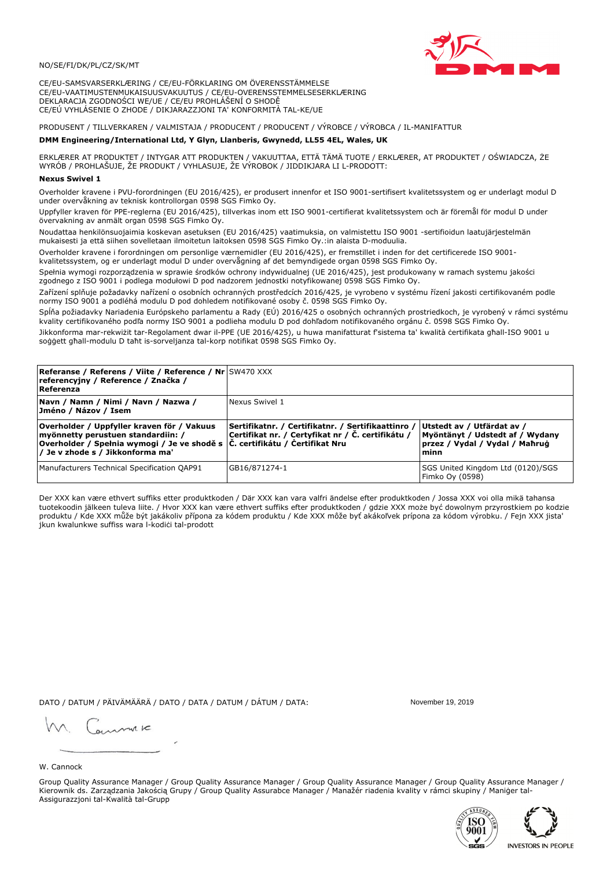

CE/EU-SAMSVARSERKLÆRING / CE/EU-FÖRKLARING OM ÖVERENSSTÄMMELSE CE/EU-VAATIMUSTENMUKAISUUSVAKUUTUS / CE/EU-OVERENSSTEMMELSESERKLÆRING DEKLARACJA ZGODNOŚCI WE/UE / CE/EU PROHLÁŠENÍ O SHODĚ CE/EÚ VYHLÁSENIE O ZHODE / DIKJARAZZJONI TA' KONFORMITÀ TAL-KE/UE

# PRODUSENT / TILLVERKAREN / VALMISTAJA / PRODUCENT / PRODUCENT / VÝROBCE / VÝROBCA / IL-MANIFATTUR

### DMM Engineering/International Ltd, Y Glyn, Llanberis, Gwynedd, LL55 4EL, Wales, UK

ERKLÆRER AT PRODUKTET / INTYGAR ATT PRODUKTEN / VAKUUTTAA, ETTÄ TÄMÄ TUOTE / ERKLÆRER, AT PRODUKTET / OŚWIADCZA, ŻE<br>WYRÓB / PROHLAŠUJE, ŽE PRODUKT / VYHLASUJE, ŽE VÝROBOK / JIDDIKJARA LI L-PRODOTT:

Overholder kravene i PVU-forordningen (EU 2016/425), er produsert innenfor et ISO 9001-sertifisert kvalitetssystem og er underlagt modul D under overvåkning av teknisk kontrollorgan 0598 SGS Fimko Oy.

Uppfyller kraven för PPE-reglerna (EU 2016/425), tillverkas inom ett ISO 9001-certifierat kvalitetssystem och är föremål för modul D under övervakning av anmält organ 0598 SGS Fimko Oy.

Noudattaa henkilönsuojaimia koskevan asetuksen (EU 2016/425) vaatimuksia, on valmistettu ISO 9001 -sertifioidun laatujärjestelmän mukaisesti ja että siihen sovelletaan ilmoitetun laitoksen 0598 SGS Fimko Oy.:in alaista D-moduulia.

Overholder kravene i forordningen om personlige værnemidler (EU 2016/425), er fremstillet i inden for det certificerede ISO 9001kvalitetssystem, og er underlagt modul D under overvågning af det bemyndigede organ 0598 SGS Fimko Oy.

Spełnia wymogi rozporządzenia w sprawie środków ochrony indywidualnej (UE 2016/425), jest produkowany w ramach systemu jakości zgodnego z ISO 9001 i podlega modułowi D pod nadzorem jednostki notyfikowanej 0598 SGS Fimko Oy.

Zařízení splňuje požadavky nařízení o osobních ochranných prostředcích 2016/425, je vyrobeno v systému řízení jakosti certifikovaném podle normy ISO 9001 a podléhá modulu D pod dohledem notifikované osoby č. 0598 SGS Fimko Oy.

Spĺňa požiadavky Nariadenia Európskeho parlamentu a Rady (EÚ) 2016/425 o osobných ochranných prostriedkoch, je vyrobený v rámci systému kvality certifikovaného podľa normy ISO 9001 a podlieha modulu D pod dohľadom notifikovaného orgánu č. 0598 SGS Fimko Oy.

Jikkonforma mar-rekwiżit tar-Regolament dwar il-PPE (UE 2016/425), u huwa manifatturat f'sistema ta' kwalità certifikata għall-ISO 9001 u soggett għall-modulu D taħt is-sorveljanza tal-korp notifikat 0598 SGS Fimko Oy.

| <b>Referanse / Referens / Viite / Reference / Nr</b> SW470 XXX<br>referencyjny / Reference / Značka /<br>Referenza                                                                                                        |                                                                                                         |                                                                                                         |
|---------------------------------------------------------------------------------------------------------------------------------------------------------------------------------------------------------------------------|---------------------------------------------------------------------------------------------------------|---------------------------------------------------------------------------------------------------------|
| Navn / Namn / Nimi / Navn / Nazwa /<br>Jméno / Názov / Isem                                                                                                                                                               | Nexus Swivel 1                                                                                          |                                                                                                         |
| Overholder / Uppfyller kraven för / Vakuus<br>myönnetty perustuen standardiin: /<br> Overholder / Spełnia wymogi / Je ve shodě s $ \check{\mathsf{C}}$ . certifikátu / Čertifikat Nru<br>/ Je v zhode s / Jikkonforma ma' | Sertifikatnr. / Certifikatnr. / Sertifikaattinro /<br>Certifikat nr. / Certyfikat nr / Č. certifikátu / | Utstedt av / Utfärdat av /<br>Myöntänyt / Udstedt af / Wydany<br>przez / Vydal / Vydal / Mahrug<br>minn |
| Manufacturers Technical Specification QAP91                                                                                                                                                                               | GB16/871274-1                                                                                           | SGS United Kingdom Ltd (0120)/SGS<br>Fimko Oy (0598)                                                    |

Der XXX kan være ethvert suffiks etter produktkoden / Där XXX kan vara valfri ändelse efter produktkoden / Jossa XXX voi olla mikä tahansa tuotekoodin jälkeen tuleva liite. / Hvor XXX kan være ethvert suffiks efter produktkoden / gdzie XXX może być dowolnym przyrostkiem po kodzie produktu / Kde XXX může být jakákoliv přípona za kódem produktu / Kde XXX môže byť akákolyek prípona za kódom výrobku. / Fejn XXX jista ikun kwalunkwe suffiss wara l-kodići tal-prodott

DATO / DATUM / PÄIVÄMÄÄRÄ / DATO / DATA / DATUM / DÁTUM / DATA:

November 19 2019

annuic

W. Cannock

Group Quality Assurance Manager / Group Quality Assurance Manager / Group Quality Assurance Manager / Group Quality Assurance Manager / Kierownik ds. Zarządzania Jakością Grupy / Group Quality Assurabce Manager / Manažér riadenia kvality v rámci skupiny / Maniger tal-Assigurazzjoni tal-Kwalità tal-Grupp